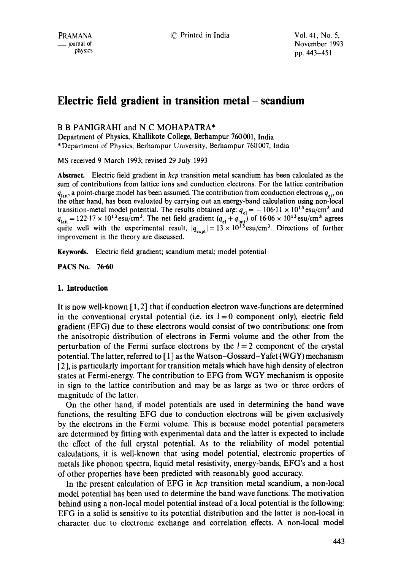# **Electric field gradient in transition metal- scandium**

# B B PANIGRAHI and N C MOHAPATRA\*

Department of Physics, Khallikote College, Berhampur 760001, India \* Department" of Physics, Berhampur University, Berhampur 760007, India

MS received 9 March 1993; revised 29 July 1993

Abstract. Electric field gradient in *hcp* transition metal scandium has been calculated as **the**  sum of contributions from lattice ions and conduction electrons. For the lattice contribution  $q_{\text{lat}}$ , a point-charge model has been assumed. The contribution from conduction electrons  $q_{\text{at}}$ , on the other hand, has been evaluated by carrying out an energy-band calculation using non-local transition-metal model potential. The results obtained are:  $q_{el} = -106.11 \times 10^{13}$  esu/cm<sup>3</sup> and  $q_{\text{lat}} = 122.17 \times 10^{13}$  esu/cm<sup>3</sup>. The net field gradient  $(q_{el} + q_{\text{lat}})$  of  $16.06 \times 10^{13}$  esu/cm<sup>3</sup> agrees quite well with the experimental result,  $|q_{\text{ex}}| = 13 \times 10^{13}$  esu/cm<sup>3</sup>. Directions of further improvement in the theory are discussed.

Keywords. Electric field gradient; scandium metal; model potential

PACS No. 76.60

# **I. Introduction**

It is now well-known  $[1, 2]$  that if conduction electron wave-functions are determined in the conventional crystal potential (i.e. its  $l=0$  component only), electric field gradient (EFG) due to these electrons would consist of two contributions: one from the anisotropic distribution of electrons in Fermi volume and the other from the perturbation of the Fermi surface electrons by the  $l = 2$  component of the crystal potential. The latter, referred to [ 1] as the Watson-Gossard-Yafet (WGY) mechanism [2], is particularly important for transition metals which have high density of electron states at Fermi-energy. The contribution to EFG from WGY mechanism is opposite in sign to the lattice contribution and may be as large as two or three orders of magnitude of the latter.

On the other hand, if model potentials are used in determining the band wave functions, the resulting EFG due to conduction electrons will be given exclusively by the electrons in the Fermi volume. This is because model potential parameters are determined by fitting With experimental data and the latter is expected to include the effect of the full crystal potential. As to the reliability of model potential calculations, it is well-known that using model potential, electronic properties of metals like phonon spectra, liquid metal resistivity, energy-bands, EFG's and a host of other properties have been predicted with reasonably good accuracy.

In the present calculation of EFG in *hcp* transition metal scandium, a non-local model potential has been used to determine the band wave functions. The motivation behind using a non-local model potential instead of a local potential is the following: EFG in a solid is sensitive to its potential distribution and the latter is non-local in character due to electronic exchange and correlation effects. A non-local model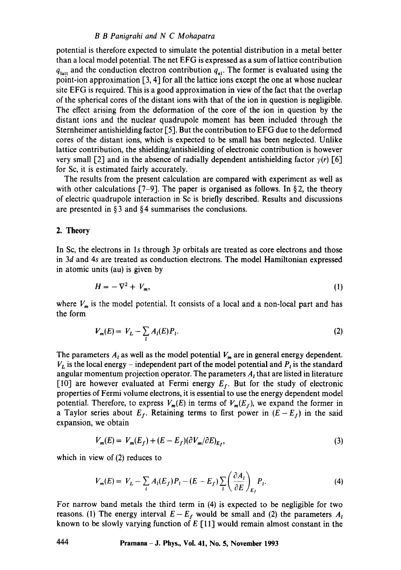#### *B B Panigrahi and N C Mohapatra*

potential is therefore expected to simulate the potential distribution in a metal better than a local model potential. The net EFG is expressed as a sum of lattice contribution  $q<sub>latt</sub>$  and the conduction electron contribution  $q<sub>el</sub>$ . The former is evaluated using the point-ion approximation [3, 4] for all the lattice ions except the one at whose nuclear site EFG is required. This is a good approximation in view of the fact that the overlap of the spherical cores of the distant ions with that of the ion in question is negligible. The effect arising from the deformation of the core of the ion in question by the distant ions and the nuclear quadrupole moment has been included through the Sternheimer antishielding factor [5]. But the contribution to EFG due to the deformed cores of the distant ions, which is expected to be small has been neglected. Unlike lattice contribution, the shielding/antishielding of electronic contribution is however very small [2] and in the absence of radially dependent antishielding factor  $\gamma(r)$  [6] for Sc, it is estimated fairly accurately.

The results from the present calculation are compared with experiment as well as with other calculations [7-9]. The paper is organised as follows. In §2, the theory of electric quadrupole interaction in Sc is briefly described. Results and discussions are presented in  $\S 3$  and  $\S 4$  summarises the conclusions.

### 2. Theory

In Sc, the electrons in ls through 3p orbitals are treated as core electrons and those in 3d and 4s are treated as conduction electrons. The model Hamiltonian expressed in atomic units (au) is given by

$$
H = -\nabla^2 + V_m,\tag{1}
$$

where  $V_m$  is the model potential. It consists of a local and a non-local part and has the form

$$
V_m(E) = V_L - \sum_{l} A_l(E) P_l.
$$
 (2)

The parameters  $A_i$  as well as the model potential  $V_m$  are in general energy dependent.  $V_L$  is the local energy – independent part of the model potential and  $P_t$  is the standard angular momentum projection operator. The parameters  $A_t$  that are listed in literature [10] are however evaluated at Fermi energy  $E_f$ . But for the study of electronic properties of Fermi volume electrons, it is essential to use the energy dependent model potential. Therefore, to express  $V_m(E)$  in terms of  $V_m(E_f)$ , we expand the former in a Taylor series about  $E_f$ . Retaining terms to first power in  $(E - E_f)$  in the said expansion, we obtain

$$
V_m(E) = V_m(E_f) + (E - E_f)(\partial V_m/\partial E)_{E_f},
$$
\n(3)

which in view of (2) reduces to

$$
V_m(E) = V_L - \sum_i A_i(E_f) P_i - (E - E_f) \sum_i \left( \frac{\partial A_i}{\partial E} \right)_{E_f} P_i.
$$
 (4)

For narrow band metals the third term in (4) is expected to be negligible for two reasons. (1) The energy interval  $E - E_f$  would be small and (2) the parameters  $A_i$ known to be slowly varying function of  $E$  [11] would remain almost constant in the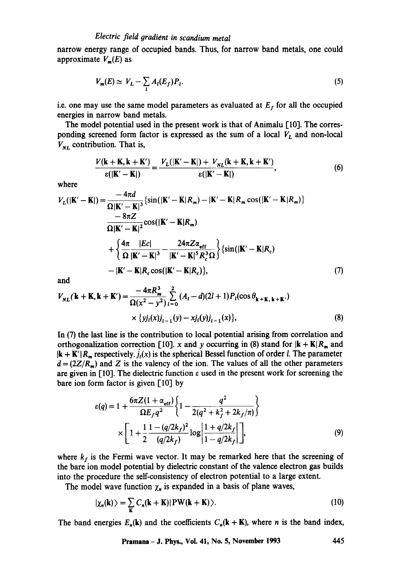# *Electric field oradient in scandium metal*

narrow energy range of occupied bands. Thus, for narrow band metals, one could approximate  $V_m(E)$  as

$$
V_m(E) \simeq V_L - \sum_l A_l(E_f) P_l. \tag{5}
$$

i.e. one may use the same model parameters as evaluated at  $E_f$  for all the occupied energies in narrow band metals.

The model potential used in the present work is that of Animalu [10]. The corresponding screened form factor is expressed as the sum of a local  $V_L$  and non-local  $V_{NL}$  contribution. That is,

$$
\frac{V(\mathbf{k} + \mathbf{K}, \mathbf{k} + \mathbf{K}')}{\varepsilon(|\mathbf{K}' - \mathbf{K}|)} = \frac{V_L(|\mathbf{K}' - \mathbf{K}|) + V_{NL}(\mathbf{k} + \mathbf{K}, \mathbf{k} + \mathbf{K}')}{\varepsilon(|\mathbf{K}' - \mathbf{K}|)},
$$
(6)

where

$$
V_L(|\mathbf{K}' - \mathbf{K}|) = \frac{-4\pi d}{\Omega|\mathbf{K}' - \mathbf{K}|^3} \left\{ \sin(|\mathbf{K}' - \mathbf{K}|R_m) - |\mathbf{K}' - \mathbf{K}|R_m \cos(|\mathbf{K}' - \mathbf{K}|R_m) \right\}
$$
  
\n
$$
= \frac{8\pi Z}{\Omega|\mathbf{K}' - \mathbf{K}|^2} \cos(|\mathbf{K}' - \mathbf{K}|R_m)
$$
  
\n
$$
+ \left\{ \frac{4\pi}{\Omega} \frac{|Ec|}{|\mathbf{K}' - \mathbf{K}|^3} - \frac{24\pi Z \alpha_{\text{eff}}}{|\mathbf{K}' - \mathbf{K}|^5 R_c^3 \Omega} \right\} \left\{ \sin(|\mathbf{K}' - \mathbf{K}|R_c) \right\}
$$
  
\n
$$
- |\mathbf{K}' - \mathbf{K}|R_c \cos(|\mathbf{K}' - \mathbf{K}|R_c) \right\}, \tag{7}
$$

and

$$
V_{NL}(\mathbf{k} + \mathbf{K}, \mathbf{k} + \mathbf{K}') = \frac{-4\pi R_m^3}{\Omega(x^2 - y^2)} \sum_{l=0}^{2} (A_l - d)(2l+1) P_l(\cos \theta_{\mathbf{k} + \mathbf{K}, \mathbf{k} + \mathbf{K}'})
$$
  
 
$$
\times \{y_j_i(x)j_{i-1}(y) - x_j_i(y)j_{i-1}(x)\},
$$
 (8)

In (7) the last line is the contribution to local potential arising from correlation and orthogonalization correction [10]. x and y occurring in (8) stand for  $|{\bf k} + {\bf K}| R_m$  and  $|\mathbf{k} + \mathbf{K}'| R_{m}$  respectively,  $j_{i}(x)$  is the spherical Bessel function of order *l*. The parameter  $d = (2Z/R_m)$  and Z is the valency of the ion. The values of all the other parameters are given in [10]. The dielectric function  $\varepsilon$  used in the present work for screening the bare ion form factor is given [10] by

$$
\varepsilon(q) = 1 + \frac{6\pi Z (1 + \alpha_{\text{eff}})}{\Omega E_f q^2} \left\{ 1 - \frac{q^2}{2(q^2 + k_f^2 + 2k_f/\pi)} \right\}
$$

$$
\times \left[ 1 + \frac{1}{2} \frac{1 - (q/2k_f)^2}{(q/2k_f)} \log \left| \frac{1 + q/2k_f}{1 - q/2k_f} \right| \right],
$$
(9)

where  $k_f$  is the Fermi wave vector. It may be remarked here that the screening of the bare ion model potential by dielectric constant of the valence electron gas builds into the procedure the self-consistency of electron potential to a large extent.

The model wave function  $\chi_n$  is expanded in a basis of plane waves,

$$
|\chi_n(\mathbf{k})\rangle = \sum_{\mathbf{K}} C_n(\mathbf{k} + \mathbf{K}) |\mathbf{PW}(\mathbf{k} + \mathbf{K})\rangle.
$$
 (10)

The band energies  $E_n(\mathbf{k})$  and the coefficients  $C_n(\mathbf{k} + \mathbf{K})$ , where *n* is the band index,

**Pramana- J. Phys., Vol. 41, No. 5, November 1993 445**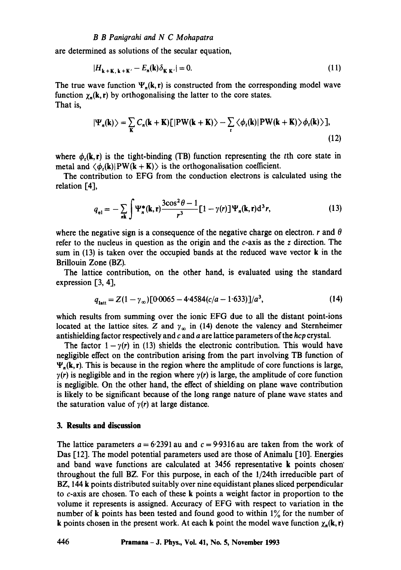are determined as solutions of the secular equation,

$$
|H_{\mathbf{k} + \mathbf{K}, \mathbf{k} + \mathbf{K}'} - E_n(\mathbf{k}) \delta_{\mathbf{K} | \mathbf{K}'}| = 0. \tag{11}
$$

The true wave function  $\Psi_n(k, r)$  is constructed from the corresponding model wave function  $\chi_n(\mathbf{k}, \mathbf{r})$  by orthogonalising the latter to the core states. That is,

$$
|\Psi_n(\mathbf{k})\rangle = \sum_{\mathbf{K}} C_n(\mathbf{k} + \mathbf{K})[|\mathbf{PW}(\mathbf{k} + \mathbf{K})\rangle - \sum_{\mathbf{t}} \langle \phi_{\mathbf{t}}(\mathbf{k})| \mathbf{PW}(\mathbf{k} + \mathbf{K}) \rangle \phi_{\mathbf{t}}(\mathbf{k})\rangle],
$$
\n(12)

where  $\phi_t(\mathbf{k}, \mathbf{r})$  is the tight-binding (TB) function representing the tth core state in metal and  $\langle \phi_n(\mathbf{k})|PW(\mathbf{k} + \mathbf{K})\rangle$  is the orthogonalisation coefficient.

The contribution to EFG from the conduction electrons is calculated using the relation [4],

$$
q_{el} = -\sum_{n\mathbf{k}} \int \Psi_{n}^{*}(\mathbf{k}, \mathbf{r}) \frac{3\cos^{2}\theta - 1}{r^{3}} [1 - \gamma(r)] \Psi_{n}(\mathbf{k}, \mathbf{r}) d^{3} r,
$$
 (13)

where the negative sign is a consequence of the negative charge on electron, r and  $\theta$ refer to the nucleus in question as the origin and the c-axis as the z direction. The sum in  $(13)$  is taken over the occupied bands at the reduced wave vector **k** in the Brillouin Zone (BZ).

The lattice contribution, on the other hand, is evaluated using the standard expression [3, 4],

$$
q_{\text{latt}} = Z(1 - \gamma_{\infty}) [0.0065 - 4.4584(c/a - 1.633)]/a^3, \tag{14}
$$

which results from summing over the ionic EFG due to all the distant point-ions located at the lattice sites. Z and  $\gamma_m$  in (14) denote the valency and Sternheimer antishielding factor respectively and c and a are lattice parameters of the *hcp* crystal.

The factor  $1-\gamma(r)$  in (13) shields the electronic contribution. This would have negligible effect on the contribution arising from the part involving TB function of  $\Psi_n(k, r)$ . This is because in the region where the amplitude of core functions is large,  $y(r)$  is negligible and in the region where  $y(r)$  is large, the amplitude of core function is negligible. On the other hand, the effect of shielding on plane wave contribution is likely to be significant because of the long range nature of plane wave states and the saturation value of  $\gamma(r)$  at large distance.

# **3. Results and discussion**

The lattice parameters  $a = 6.2391$  au and  $c = 9.9316$  au are taken from the work of Das [12]. The model potential parameters used are those of Animalu [10]. Energies and band wave functions are calculated at 3456 representative k points chosen" throughout the full BZ. For this purpose, in each of the 1/24th irreducible part of BZ, 144 k points distributed suitably over nine equidistant planes sliced perpendicular to c-axis are chosen. To each of these k points a weight factor in proportion to the volume it represents is assigned. Accuracy of EFG with respect to variation in the number of k points has been tested and found good to within 1% for the number of k points chosen in the present work. At each k point the model wave function  $\chi_n(k, r)$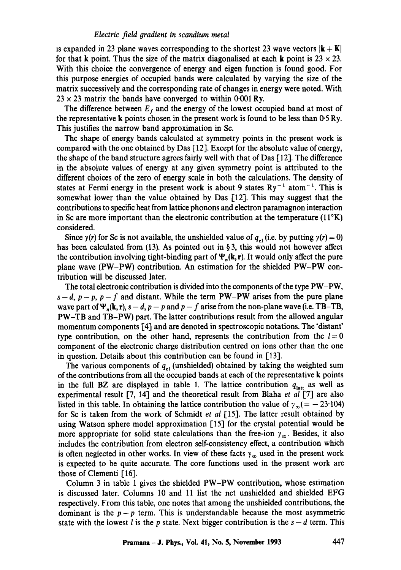## *Electric field #radient in scandium metal*

is expanded in 23 plane waves corresponding to the shortest 23 wave vectors  $|\mathbf{k} + \mathbf{K}|$ for that k point. Thus the size of the matrix diagonalised at each k point is  $23 \times 23$ . With this choice the convergence of energy and eigen function is found good. For this purpose energies of occupied bands were calculated by varying the size of the matrix successively and the corresponding rate of changes in energy were noted. With  $23 \times 23$  matrix the bands have converged to within 0.001 Ry.

The difference between  $E_t$  and the energy of the lowest occupied band at most of the representative k points chosen in the present work is found to be less than  $0.5 \text{ Ry}$ . This justifies the narrow band approximation in Sc.

The shape of energy bands calculated at symmetry points in the present work is compared with the one obtained by Das [12]. Except for the absolute value of energy, the shape of the band structure agrees fairly well with that of  $\text{Das } [12]$ . The difference in the absolute values of energy at any given symmetry point is attributed to the different choices of the zero of energy scale in both the calculations. The density of states at Fermi energy in the present work is about 9 states  $Ry^{-1}$  atom<sup>-1</sup>. This is somewhat lower than the value obtained by Das [12]. This may suggest that the contributions to specific heat from lattice phonons and electron paramagnon interaction in Sc are more important than the electronic contribution at the temperature  $(11^{\circ}K)$ considered.

Since  $\gamma(r)$  for Sc is not available, the unshielded value of  $q_{el}$  (i.e. by putting  $\gamma(r) = 0$ ) has been calculated from (13). As pointed out in  $\S 3$ , this would not however affect the contribution involving tight-binding part of  $\Psi_n(k, r)$ . It would only affect the pure plane wave (PW-PW) contribution. An estimation for the shielded PW-PW contribution will be discussed later.

The total electronic contribution is divided into the components of the type PW-PW,  $s-d$ ,  $p-p$ ,  $p-f$  and distant. While the term PW-PW arises from the pure plane wave part of  $\Psi_n(\mathbf{k}, \mathbf{r})$ ,  $s - d$ ,  $p - p$  and  $p - f$  arise from the non-plane wave (i.e. TB-TB, PW-TB and TB-PW) part. The latter contributions result from the allowed angular momentum components 14] and are denoted in spectroscopic notations. The 'distant' type contribution, on the other hand, represents the contribution from the  $l = 0$ component of the electronic charge distribution centred on ions other than the one in question. Details about this contribution can be found in  $[13]$ .

The various components of  $q_{el}$  (unshielded) obtained by taking the weighted sum of the contributions from all the occupied bands at each of the representative k points in the full BZ are displayed in table 1. The lattice contribution  $q_{\text{latt}}$  as well as experimental result [7, 14] and the theoretical result from Blaha *et al* [7] are also listed in this table. In obtaining the lattice contribution the value of  $\gamma_{\infty} (= -23.104)$ for Sc is taken from the work of Schmidt *et al* [15]. The latter result obtained by using Watson sphere model approximation [15] for the crystal potential would be more appropriate for solid state calculations than the free-ion  $\gamma_{\infty}$ . Besides, it also includes the contribution from electron self-consistency effect, a contribution which is often neglected in other works. In view of these facts  $\gamma_{\infty}$  used in the present work is expected to be quite accurate. The core functions used in the present work are those of Clementi [16].

Column 3 in table 1 gives the shielded PW-PW contribution, whose estimation is discussed later. Columns 10 and 11 list the net unshielded and shielded EFG respectively. From this table, one notes that among the unshielded contributions, the dominant is the  $p-p$  term. This is understandable because the most asymmetric state with the lowest *l* is the *p* state. Next bigger contribution is the  $s-d$  term. This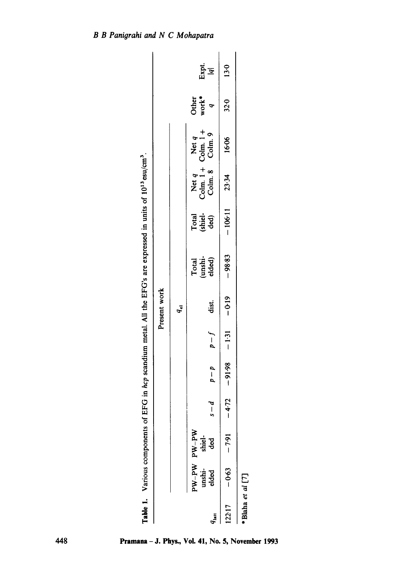|                  | Table 1. Various components of EF |   |         |             |              | G in hep scandium metal. All the EFG's are expressed in units of 10 <sup>13</sup> esu/cm <sup>3</sup> . |                          |                                                 |       |                  |             |
|------------------|-----------------------------------|---|---------|-------------|--------------|---------------------------------------------------------------------------------------------------------|--------------------------|-------------------------------------------------|-------|------------------|-------------|
|                  |                                   |   |         |             | Present work |                                                                                                         |                          |                                                 |       |                  |             |
|                  |                                   |   |         |             | $q_{\rm el}$ |                                                                                                         |                          |                                                 |       |                  |             |
|                  | PW-PW PW-PW                       |   |         |             |              |                                                                                                         |                          |                                                 |       | Other<br>work*   |             |
| $q_{\rm latt}$   | unshi-<br>elded ded               | ا | $q - q$ | $p-f$ dist. |              | Total<br>(unshi-<br>elded)                                                                              | Total<br>(shiel-<br>ded) | Net q<br>Colm. 1 + Colm. 1 +<br>Colm. 8 Colm. 9 |       | $\boldsymbol{q}$ | Expt.<br> g |
| 122.17           | $-0.63 - 7.91 - 4.72$             |   |         |             |              | $-98.83$                                                                                                | $-106-11$                | 23.34                                           | 16.06 | 32.0             | 13.0        |
| *Blaha et al [7] |                                   |   |         |             |              |                                                                                                         |                          |                                                 |       |                  |             |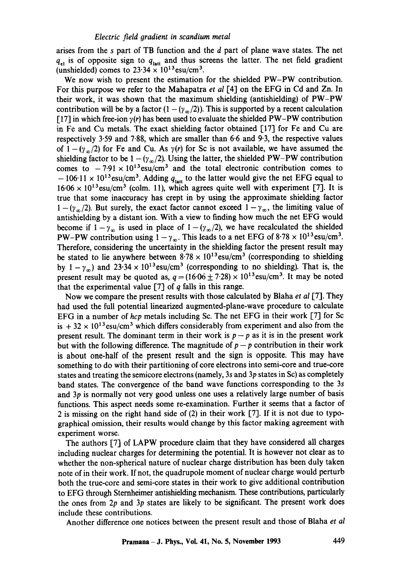arises from the s part of TB function and the d part of plane wave states. The net  $q_{el}$  is of opposite sign to  $q_{\text{latt}}$  and thus screens the latter. The net field gradient (unshielded) comes to  $23.34 \times 10^{13}$ esu/cm<sup>3</sup>.

We now wish to present the estimation for the shielded PW-PW contribution. For this purpose we refer to the Mahapatra *et al* [4] on the EFG in Cd and Zn. In their work, it was shown that the maximum shielding (antishielding) of PW-PW contribution will be by a factor  $(1 - (\gamma_{\alpha}/2))$ . This is supported by a recent calculation [17] in which free-ion  $\gamma(r)$  has been used to evaluate the shielded PW-PW contribution in Fe and Cu metals. The exact shielding factor obtained [17] for Fe and Cu are respectively 3.59 and 7.88, which are smaller than 6.6 and 9.3, the respective values of  $1-(\gamma_{\infty}/2)$  for Fe and Cu. As  $\gamma(r)$  for Sc is not available, we have assumed the shielding factor to be  $1 - (\gamma_{\infty}/2)$ . Using the latter, the shielded PW-PW contribution comes to  $-7.91 \times 10^{13}$  esu/cm<sup>3</sup> and the total electronic contribution comes to  $-106.11 \times 10^{13}$ esu/cm<sup>3</sup>. Adding  $q_{\text{last}}$  to the latter would give the net EFG equal to  $16.06 \times 10^{13}$  esu/cm<sup>3</sup> (colm. 11), which agrees quite well with experiment [7]. It is true that some inaccuracy has crept in by using the approximate shielding factor  $1 - (\gamma_{\infty}/2)$ . But surely, the exact factor cannot exceed  $1 - \gamma_{\infty}$ , the limiting value of antishielding by a distant ion. With a view to finding how much the net EFG would become if  $1-\gamma_{\infty}$  is used in place of  $1-(\gamma_{\infty}/2)$ , we have recalculated the shielded PW-PW contribution using  $1 - \gamma_{\infty}$ . This leads to a net EFG of 8.78  $\times$  10<sup>13</sup>esu/cm<sup>3</sup>. Therefore, considering the uncertainty in the shielding factor the present result may be stated to lie anywhere between  $8.78 \times 10^{13}$ esu/cm<sup>3</sup> (corresponding to shielding by  $1 - \gamma_m$ ) and  $23.34 \times 10^{13}$ esu/cm<sup>3</sup> (corresponding to no shielding). That is, the present result may be quoted as,  $q = (16.06 \pm 7.28) \times 10^{13}$ esu/cm<sup>3</sup>. It may be noted that the experimental value  $[7]$  of q falls in this range.

Now we compare the present results with those calculated by Blaha *et al* [7]. They had used the full potential linearized augmented-plane-wave procedure to calculate EFG in a number of *hcp* metals including Sc. The net EFG in their work [71 for Sc is  $+32 \times 10^{13}$  esu/cm<sup>3</sup> which differs considerably from experiment and also from the present result. The dominant term in their work is  $p-p$  as it is in the present work but with the following difference. The magnitude of  $p - p$  contribution in their work is about one-half of the present result and the sign is opposite. This may have something to do with their partitioning of core electrons into semi-core and true-core states and treating the semicore electrons (namely, 3s and  $3p$  states in Sc) as completely band states. The convergence of the band wave functions corresponding to the 3s and 3p is normally not very good unless one uses a relatively large number of basis functions. This aspect needs some re-examination. Further it seems that a factor of 2 is missing on the right hand side of (2) in their work [7]. If it is not due to typographical omission, their results would change by this factor making agreement with experiment worse.

The authors [7] of LAPW procedure claim that they have considered all charges including nuclear charges for determining the potential. It is however not clear as to whether the non-spherical nature of nuclear charge distribution has been duly taken note of in their work. If not, the quadrupole moment of nuclear charge would perturb both the true-core and semi-core states in their work to give additional contribution to EFG through Sternheimer antishielding mechanism. These contributions, particularly the ones from  $2p$  and  $3p$  states are likely to be significant. The present work does include these contributions.

Another difference one notices between the present result and those of Blaha *et al*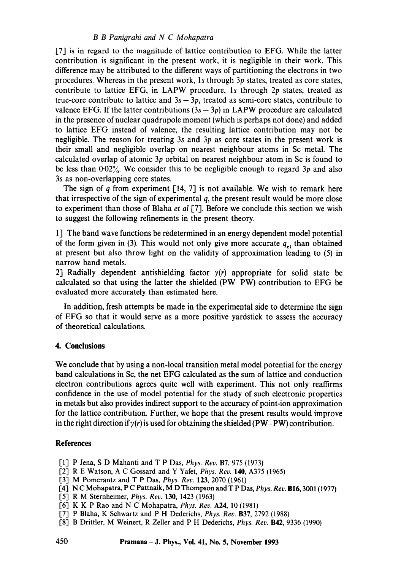# *B B Panigrahi and N C Mohapatra*

[7] is in regard to the magnitude of lattice contribution to EFG. While the latter contribution is significant in the present work, it is negligible in their work. This difference may be attributed to the different ways of partitioning the electrons in two procedures. Whereas in the present work, ls through 3p states, treated as core states, contribute to lattice EFG, in LAPW procedure, 1s through  $2p$  states, treated as true-core contribute to lattice and  $3s - 3p$ , treated as semi-core states, contribute to valence EFG. If the latter contributions  $(3s - 3p)$  in LAPW procedure are calculated in the presence of nuclear quadrupole moment (which is perhaps not done) and added to lattice EFG instead of valence, the resulting lattice contribution may not be negligible. The reason for treating 3s and 3p as core states in the present work is their small and negligible overlap on nearest neighbour atoms in Sc metal. The calculated overlap of atomic 3p orbital on nearest neighbour atom in Sc is found to be less than  $0.02\%$ . We consider this to be negligible enough to regard 3p and also 3s as non-overlapping core states.

The sign of q from experiment [14, 7] is not available. We wish to remark here that irrespective of the sign of experimental  $q$ , the present result would be more close to experiment than those of Blaha *et al* [7]. Before we conclude this section we wish to suggest the following refinements in the present theory.

1] The band wave functions be redetermined in an energy dependent model potential of the form given in (3). This would not only give more accurate  $q_{el}$  than obtained at present but also throw light on the validity of approximation leading to (5) in narrow band metals.

2] Radially dependent antishielding factor  $y(r)$  appropriate for solid state be calculated so that using the latter the shielded (PW-PW) contribution to EFG be evaluated more accurately than estimated here.

In addition, fresh attempts be made in the experimental side to determine the sign of EFG so that it would serve as a more positive yardstick to assess the accuracy of theoretical calculations.

#### 4. **Conclusions**

We conclude that by using a non-local transition metal model potential for the energy band calculations in Sc, the net EFG calculated as the sum of lattice and conduction electron contributions agrees quite well with experiment. This not only reaffirms confidence in the use of model potential for the study of such electronic properties in metals but also provides indirect support to the accuracy of point-ion approximation for the lattice contribution. Further, we hope that the present results would improve in the right direction if  $y(r)$  is used for obtaining the shielded (PW-PW) contribution.

### **References**

- [1] P Jena, S D Mahanti and T P Das, *Phys. Rev.* B7, 975 (1973)
- [2] R E Watson, A C Gossard and Y Yafet, *Phys. Rev.* 140, A375 (1965)
- [3] M Pomerantz and T P Das, *Phys. Rev.* 123, 2070 (1961)
- [4] N C Mohapatra, P C Pattnaik, M D Thompson and T P Das, *Phys. Rev.* B16, 3001 (1977)
- [5] R M Sternheimer, *Phys. Rev.* 130, 1423 (1963)
- [6] K K P Rao and N C Mohapatra, *Phys. Rev.* A24, l0 (1981)
- [7] P Blaha, K Schwartz and P H Dederichs, *Phys. Rev. B37, 2792 (1988)*
- [8] B Drittler, M Weinert, R Zeller and P H Dederichs, *Phys. Rev.* B42, 9336 (1990)